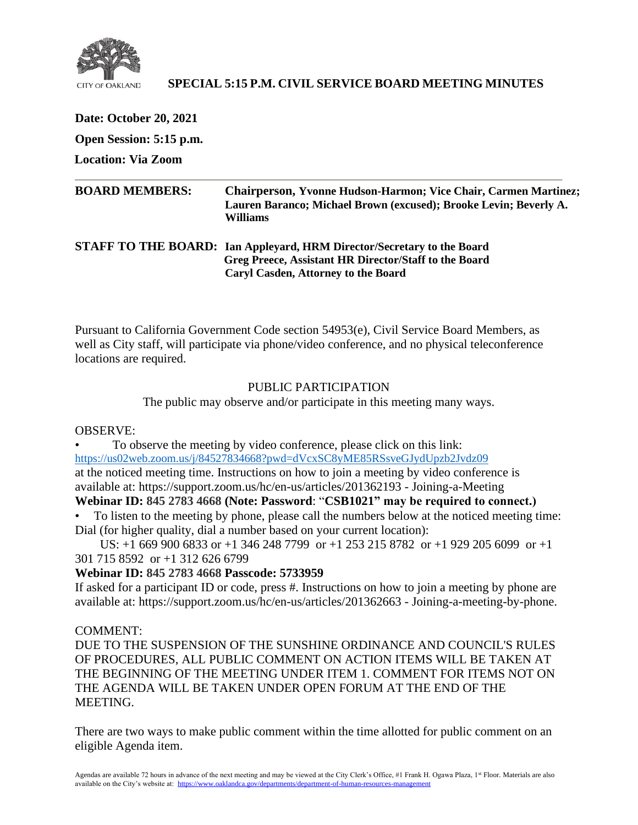

# **SPECIAL 5:15 P.M. CIVIL SERVICE BOARD MEETING MINUTES**

**Date: October 20, 2021 Open Session: 5:15 p.m.**

**Location: Via Zoom**

| <b>BOARD MEMBERS:</b> | <b>Chairperson, Yvonne Hudson-Harmon; Vice Chair, Carmen Martinez;</b><br>Lauren Baranco; Michael Brown (excused); Brooke Levin; Beverly A.<br>Williams                       |
|-----------------------|-------------------------------------------------------------------------------------------------------------------------------------------------------------------------------|
|                       | STAFF TO THE BOARD: Ian Appleyard, HRM Director/Secretary to the Board<br>Greg Preece, Assistant HR Director/Staff to the Board<br><b>Caryl Casden, Attorney to the Board</b> |

Pursuant to California Government Code section 54953(e), Civil Service Board Members, as well as City staff, will participate via phone/video conference, and no physical teleconference locations are required.

## PUBLIC PARTICIPATION

The public may observe and/or participate in this meeting many ways.

#### OBSERVE:

• To observe the meeting by video conference, please click on this link: <https://us02web.zoom.us/j/84527834668?pwd=dVcxSC8yME85RSsveGJydUpzb2Jvdz09> at the noticed meeting time. Instructions on how to join a meeting by video conference is available at: https://support.zoom.us/hc/en-us/articles/201362193 - Joining-a-Meeting

# **Webinar ID: 845 2783 4668 (Note: Password**: "**CSB1021" may be required to connect.)**

• To listen to the meeting by phone, please call the numbers below at the noticed meeting time: Dial (for higher quality, dial a number based on your current location):

 US: +1 669 900 6833 or +1 346 248 7799 or +1 253 215 8782 or +1 929 205 6099 or +1 301 715 8592 or +1 312 626 6799

## **Webinar ID: 845 2783 4668 Passcode: 5733959**

If asked for a participant ID or code, press #. Instructions on how to join a meeting by phone are available at: https://support.zoom.us/hc/en-us/articles/201362663 - Joining-a-meeting-by-phone.

## COMMENT:

DUE TO THE SUSPENSION OF THE SUNSHINE ORDINANCE AND COUNCIL'S RULES OF PROCEDURES, ALL PUBLIC COMMENT ON ACTION ITEMS WILL BE TAKEN AT THE BEGINNING OF THE MEETING UNDER ITEM 1. COMMENT FOR ITEMS NOT ON THE AGENDA WILL BE TAKEN UNDER OPEN FORUM AT THE END OF THE MEETING.

There are two ways to make public comment within the time allotted for public comment on an eligible Agenda item.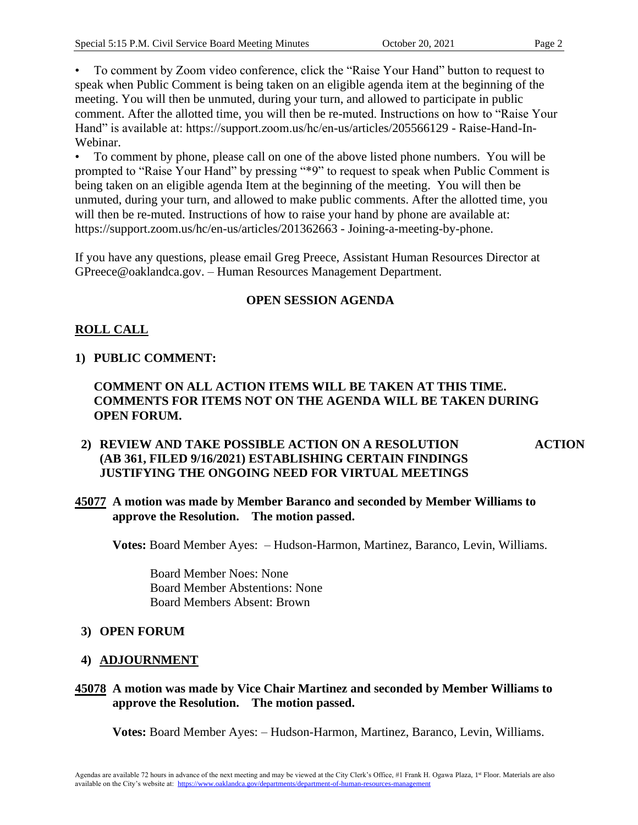• To comment by Zoom video conference, click the "Raise Your Hand" button to request to speak when Public Comment is being taken on an eligible agenda item at the beginning of the meeting. You will then be unmuted, during your turn, and allowed to participate in public comment. After the allotted time, you will then be re-muted. Instructions on how to "Raise Your Hand" is available at: https://support.zoom.us/hc/en-us/articles/205566129 - Raise-Hand-In-Webinar.

• To comment by phone, please call on one of the above listed phone numbers. You will be prompted to "Raise Your Hand" by pressing "\*9" to request to speak when Public Comment is being taken on an eligible agenda Item at the beginning of the meeting. You will then be unmuted, during your turn, and allowed to make public comments. After the allotted time, you will then be re-muted. Instructions of how to raise your hand by phone are available at: https://support.zoom.us/hc/en-us/articles/201362663 - Joining-a-meeting-by-phone.

If you have any questions, please email Greg Preece, Assistant Human Resources Director at GPreece@oaklandca.gov. – Human Resources Management Department.

# **OPEN SESSION AGENDA**

# **ROLL CALL**

## **1) PUBLIC COMMENT:**

## **COMMENT ON ALL ACTION ITEMS WILL BE TAKEN AT THIS TIME. COMMENTS FOR ITEMS NOT ON THE AGENDA WILL BE TAKEN DURING OPEN FORUM.**

#### **2) REVIEW AND TAKE POSSIBLE ACTION ON A RESOLUTION (AB 361, FILED 9/16/2021) ESTABLISHING CERTAIN FINDINGS JUSTIFYING THE ONGOING NEED FOR VIRTUAL MEETINGS ACTION**

#### **45077 A motion was made by Member Baranco and seconded by Member Williams to approve the Resolution. The motion passed.**

**Votes:** Board Member Ayes: – Hudson-Harmon, Martinez, Baranco, Levin, Williams.

 Board Member Noes: None Board Member Abstentions: None Board Members Absent: Brown

## **3) OPEN FORUM**

## **4) ADJOURNMENT**

#### **45078 A motion was made by Vice Chair Martinez and seconded by Member Williams to approve the Resolution. The motion passed.**

**Votes:** Board Member Ayes: – Hudson-Harmon, Martinez, Baranco, Levin, Williams.